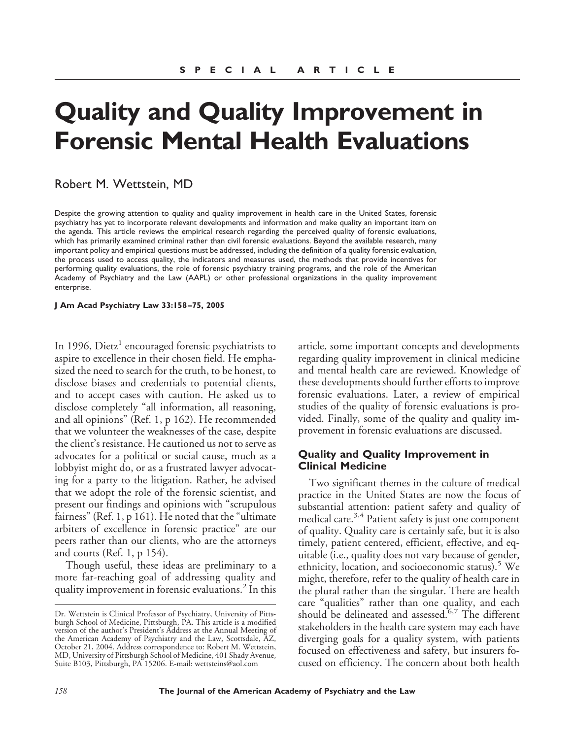# **Quality and Quality Improvement in Forensic Mental Health Evaluations**

# Robert M. Wettstein, MD

Despite the growing attention to quality and quality improvement in health care in the United States, forensic psychiatry has yet to incorporate relevant developments and information and make quality an important item on the agenda. This article reviews the empirical research regarding the perceived quality of forensic evaluations, which has primarily examined criminal rather than civil forensic evaluations. Beyond the available research, many important policy and empirical questions must be addressed, including the definition of a quality forensic evaluation, the process used to access quality, the indicators and measures used, the methods that provide incentives for performing quality evaluations, the role of forensic psychiatry training programs, and the role of the American Academy of Psychiatry and the Law (AAPL) or other professional organizations in the quality improvement enterprise.

**J Am Acad Psychiatry Law 33:158 –75, 2005**

In 1996, Dietz<sup>1</sup> encouraged forensic psychiatrists to aspire to excellence in their chosen field. He emphasized the need to search for the truth, to be honest, to disclose biases and credentials to potential clients, and to accept cases with caution. He asked us to disclose completely "all information, all reasoning, and all opinions" (Ref. 1, p 162). He recommended that we volunteer the weaknesses of the case, despite the client's resistance. He cautioned us not to serve as advocates for a political or social cause, much as a lobbyist might do, or as a frustrated lawyer advocating for a party to the litigation. Rather, he advised that we adopt the role of the forensic scientist, and present our findings and opinions with "scrupulous fairness" (Ref. 1, p 161). He noted that the "ultimate arbiters of excellence in forensic practice" are our peers rather than our clients, who are the attorneys and courts (Ref. 1, p 154).

Though useful, these ideas are preliminary to a more far-reaching goal of addressing quality and quality improvement in forensic evaluations.<sup>2</sup> In this article, some important concepts and developments regarding quality improvement in clinical medicine and mental health care are reviewed. Knowledge of these developments should further efforts to improve forensic evaluations. Later, a review of empirical studies of the quality of forensic evaluations is provided. Finally, some of the quality and quality improvement in forensic evaluations are discussed.

# **Quality and Quality Improvement in Clinical Medicine**

Two significant themes in the culture of medical practice in the United States are now the focus of substantial attention: patient safety and quality of medical care.3,4 Patient safety is just one component of quality. Quality care is certainly safe, but it is also timely, patient centered, efficient, effective, and equitable (i.e., quality does not vary because of gender, ethnicity, location, and socioeconomic status). $5$  We might, therefore, refer to the quality of health care in the plural rather than the singular. There are health care "qualities" rather than one quality, and each should be delineated and assessed. $6,7$  The different stakeholders in the health care system may each have diverging goals for a quality system, with patients focused on effectiveness and safety, but insurers focused on efficiency. The concern about both health

Dr. Wettstein is Clinical Professor of Psychiatry, University of Pittsburgh School of Medicine, Pittsburgh, PA. This article is a modified version of the author's President's Address at the Annual Meeting of the American Academy of Psychiatry and the Law, Scottsdale, AZ, October 21, 2004. Address correspondence to: Robert M. Wettstein, MD, University of Pittsburgh School of Medicine, 401 Shady Avenue, Suite B103, Pittsburgh, PA 15206. E-mail: wettsteins@aol.com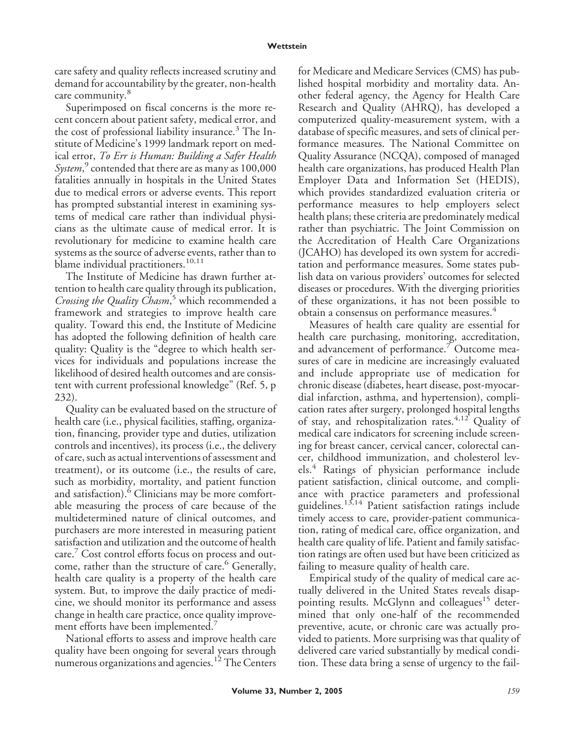care safety and quality reflects increased scrutiny and demand for accountability by the greater, non-health care community.<sup>8</sup>

Superimposed on fiscal concerns is the more recent concern about patient safety, medical error, and the cost of professional liability insurance.<sup>3</sup> The Institute of Medicine's 1999 landmark report on medical error, *To Err is Human: Building a Safer Health System*, <sup>9</sup> contended that there are as many as 100,000 fatalities annually in hospitals in the United States due to medical errors or adverse events. This report has prompted substantial interest in examining systems of medical care rather than individual physicians as the ultimate cause of medical error. It is revolutionary for medicine to examine health care systems as the source of adverse events, rather than to blame individual practitioners. $10,11$ 

The Institute of Medicine has drawn further attention to health care quality through its publication, *Crossing the Quality Chasm*, <sup>5</sup> which recommended a framework and strategies to improve health care quality. Toward this end, the Institute of Medicine has adopted the following definition of health care quality: Quality is the "degree to which health services for individuals and populations increase the likelihood of desired health outcomes and are consistent with current professional knowledge" (Ref. 5, p 232).

Quality can be evaluated based on the structure of health care (i.e., physical facilities, staffing, organization, financing, provider type and duties, utilization controls and incentives), its process (i.e., the delivery of care, such as actual interventions of assessment and treatment), or its outcome (i.e., the results of care, such as morbidity, mortality, and patient function and satisfaction).<sup>6</sup> Clinicians may be more comfortable measuring the process of care because of the multidetermined nature of clinical outcomes, and purchasers are more interested in measuring patient satisfaction and utilization and the outcome of health care.<sup>7</sup> Cost control efforts focus on process and outcome, rather than the structure of care.<sup>6</sup> Generally, health care quality is a property of the health care system. But, to improve the daily practice of medicine, we should monitor its performance and assess change in health care practice, once quality improvement efforts have been implemented.<sup>7</sup>

National efforts to assess and improve health care quality have been ongoing for several years through numerous organizations and agencies.<sup>12</sup> The Centers for Medicare and Medicare Services (CMS) has published hospital morbidity and mortality data. Another federal agency, the Agency for Health Care Research and Quality (AHRQ), has developed a computerized quality-measurement system, with a database of specific measures, and sets of clinical performance measures. The National Committee on Quality Assurance (NCQA), composed of managed health care organizations, has produced Health Plan Employer Data and Information Set (HEDIS), which provides standardized evaluation criteria or performance measures to help employers select health plans; these criteria are predominately medical rather than psychiatric. The Joint Commission on the Accreditation of Health Care Organizations (JCAHO) has developed its own system for accreditation and performance measures. Some states publish data on various providers' outcomes for selected diseases or procedures. With the diverging priorities of these organizations, it has not been possible to obtain a consensus on performance measures.<sup>4</sup>

Measures of health care quality are essential for health care purchasing, monitoring, accreditation, and advancement of performance.<sup>7</sup> Outcome measures of care in medicine are increasingly evaluated and include appropriate use of medication for chronic disease (diabetes, heart disease, post-myocardial infarction, asthma, and hypertension), complication rates after surgery, prolonged hospital lengths of stay, and rehospitalization rates.<sup>4,12</sup> Quality of medical care indicators for screening include screening for breast cancer, cervical cancer, colorectal cancer, childhood immunization, and cholesterol levels.<sup>4</sup> Ratings of physician performance include patient satisfaction, clinical outcome, and compliance with practice parameters and professional guidelines.13,14 Patient satisfaction ratings include timely access to care, provider-patient communication, rating of medical care, office organization, and health care quality of life. Patient and family satisfaction ratings are often used but have been criticized as failing to measure quality of health care.

Empirical study of the quality of medical care actually delivered in the United States reveals disappointing results. McGlynn and colleagues<sup>15</sup> determined that only one-half of the recommended preventive, acute, or chronic care was actually provided to patients. More surprising was that quality of delivered care varied substantially by medical condition. These data bring a sense of urgency to the fail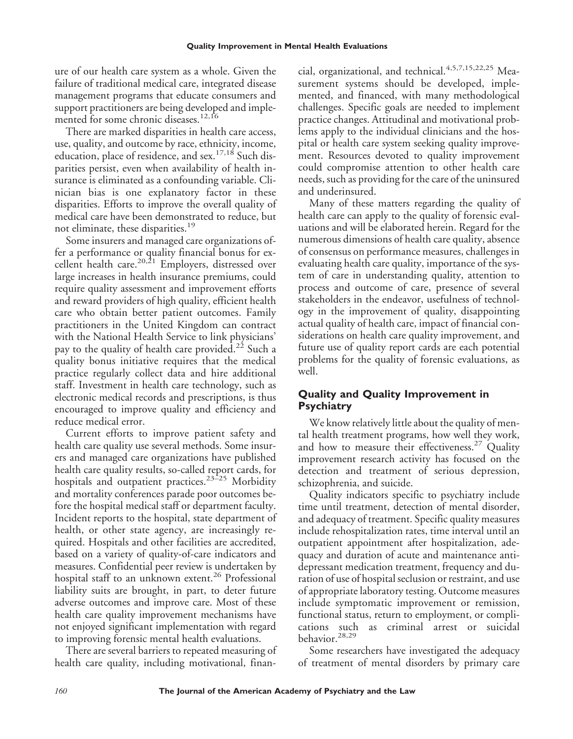ure of our health care system as a whole. Given the failure of traditional medical care, integrated disease management programs that educate consumers and support practitioners are being developed and implemented for some chronic diseases.<sup>12,16</sup>

There are marked disparities in health care access, use, quality, and outcome by race, ethnicity, income, education, place of residence, and sex.<sup>17,18</sup> Such disparities persist, even when availability of health insurance is eliminated as a confounding variable. Clinician bias is one explanatory factor in these disparities. Efforts to improve the overall quality of medical care have been demonstrated to reduce, but not eliminate, these disparities.<sup>19</sup>

Some insurers and managed care organizations offer a performance or quality financial bonus for excellent health care.<sup>20,21</sup> Employers, distressed over large increases in health insurance premiums, could require quality assessment and improvement efforts and reward providers of high quality, efficient health care who obtain better patient outcomes. Family practitioners in the United Kingdom can contract with the National Health Service to link physicians' pay to the quality of health care provided.<sup>22</sup> Such a quality bonus initiative requires that the medical practice regularly collect data and hire additional staff. Investment in health care technology, such as electronic medical records and prescriptions, is thus encouraged to improve quality and efficiency and reduce medical error.

Current efforts to improve patient safety and health care quality use several methods. Some insurers and managed care organizations have published health care quality results, so-called report cards, for hospitals and outpatient practices.<sup>23-25</sup> Morbidity and mortality conferences parade poor outcomes before the hospital medical staff or department faculty. Incident reports to the hospital, state department of health, or other state agency, are increasingly required. Hospitals and other facilities are accredited, based on a variety of quality-of-care indicators and measures. Confidential peer review is undertaken by hospital staff to an unknown extent.<sup>26</sup> Professional liability suits are brought, in part, to deter future adverse outcomes and improve care. Most of these health care quality improvement mechanisms have not enjoyed significant implementation with regard to improving forensic mental health evaluations.

There are several barriers to repeated measuring of health care quality, including motivational, financial, organizational, and technical.<sup>4,5,7,15,22,25</sup> Measurement systems should be developed, implemented, and financed, with many methodological challenges. Specific goals are needed to implement practice changes. Attitudinal and motivational problems apply to the individual clinicians and the hospital or health care system seeking quality improvement. Resources devoted to quality improvement could compromise attention to other health care needs, such as providing for the care of the uninsured and underinsured.

Many of these matters regarding the quality of health care can apply to the quality of forensic evaluations and will be elaborated herein. Regard for the numerous dimensions of health care quality, absence of consensus on performance measures, challenges in evaluating health care quality, importance of the system of care in understanding quality, attention to process and outcome of care, presence of several stakeholders in the endeavor, usefulness of technology in the improvement of quality, disappointing actual quality of health care, impact of financial considerations on health care quality improvement, and future use of quality report cards are each potential problems for the quality of forensic evaluations, as well.

# **Quality and Quality Improvement in Psychiatry**

We know relatively little about the quality of mental health treatment programs, how well they work, and how to measure their effectiveness.<sup>27</sup> Quality improvement research activity has focused on the detection and treatment of serious depression, schizophrenia, and suicide.

Quality indicators specific to psychiatry include time until treatment, detection of mental disorder, and adequacy of treatment. Specific quality measures include rehospitalization rates, time interval until an outpatient appointment after hospitalization, adequacy and duration of acute and maintenance antidepressant medication treatment, frequency and duration of use of hospital seclusion or restraint, and use of appropriate laboratory testing. Outcome measures include symptomatic improvement or remission, functional status, return to employment, or complications such as criminal arrest or suicidal behavior.28,29

Some researchers have investigated the adequacy of treatment of mental disorders by primary care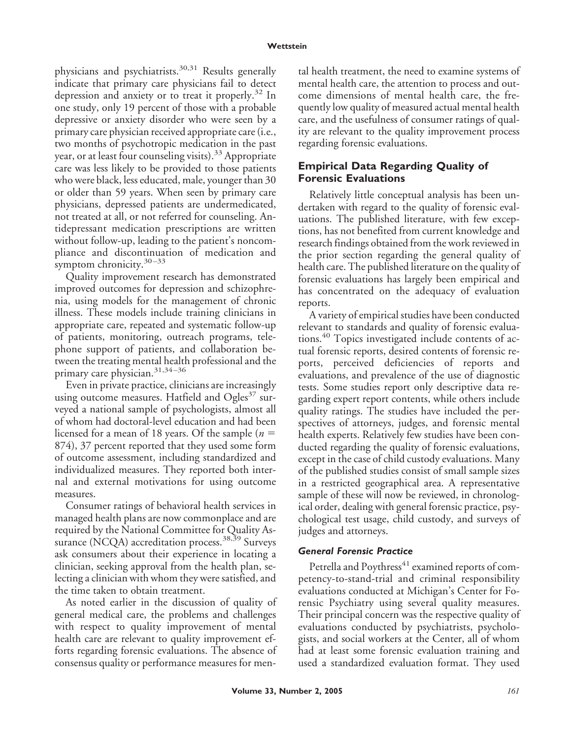physicians and psychiatrists.<sup>30,31</sup> Results generally indicate that primary care physicians fail to detect depression and anxiety or to treat it properly.<sup>32</sup> In one study, only 19 percent of those with a probable depressive or anxiety disorder who were seen by a primary care physician received appropriate care (i.e., two months of psychotropic medication in the past year, or at least four counseling visits).<sup>33</sup> Appropriate care was less likely to be provided to those patients who were black, less educated, male, younger than 30 or older than 59 years. When seen by primary care physicians, depressed patients are undermedicated, not treated at all, or not referred for counseling. Antidepressant medication prescriptions are written without follow-up, leading to the patient's noncompliance and discontinuation of medication and symptom chronicity. $30 - 33$ 

Quality improvement research has demonstrated improved outcomes for depression and schizophrenia, using models for the management of chronic illness. These models include training clinicians in appropriate care, repeated and systematic follow-up of patients, monitoring, outreach programs, telephone support of patients, and collaboration between the treating mental health professional and the primary care physician.<sup>31,34-36</sup>

Even in private practice, clinicians are increasingly using outcome measures. Hatfield and  $Ogles^{37}$  surveyed a national sample of psychologists, almost all of whom had doctoral-level education and had been licensed for a mean of 18 years. Of the sample (*n* 874), 37 percent reported that they used some form of outcome assessment, including standardized and individualized measures. They reported both internal and external motivations for using outcome measures.

Consumer ratings of behavioral health services in managed health plans are now commonplace and are required by the National Committee for Quality Assurance (NCQA) accreditation process.<sup>38,39</sup> Surveys ask consumers about their experience in locating a clinician, seeking approval from the health plan, selecting a clinician with whom they were satisfied, and the time taken to obtain treatment.

As noted earlier in the discussion of quality of general medical care, the problems and challenges with respect to quality improvement of mental health care are relevant to quality improvement efforts regarding forensic evaluations. The absence of consensus quality or performance measures for mental health treatment, the need to examine systems of mental health care, the attention to process and outcome dimensions of mental health care, the frequently low quality of measured actual mental health care, and the usefulness of consumer ratings of quality are relevant to the quality improvement process regarding forensic evaluations.

# **Empirical Data Regarding Quality of Forensic Evaluations**

Relatively little conceptual analysis has been undertaken with regard to the quality of forensic evaluations. The published literature, with few exceptions, has not benefited from current knowledge and research findings obtained from the work reviewed in the prior section regarding the general quality of health care. The published literature on the quality of forensic evaluations has largely been empirical and has concentrated on the adequacy of evaluation reports.

A variety of empirical studies have been conducted relevant to standards and quality of forensic evaluations.<sup>40</sup> Topics investigated include contents of actual forensic reports, desired contents of forensic reports, perceived deficiencies of reports and evaluations, and prevalence of the use of diagnostic tests. Some studies report only descriptive data regarding expert report contents, while others include quality ratings. The studies have included the perspectives of attorneys, judges, and forensic mental health experts. Relatively few studies have been conducted regarding the quality of forensic evaluations, except in the case of child custody evaluations. Many of the published studies consist of small sample sizes in a restricted geographical area. A representative sample of these will now be reviewed, in chronological order, dealing with general forensic practice, psychological test usage, child custody, and surveys of judges and attorneys.

## *General Forensic Practice*

Petrella and Poythress<sup>41</sup> examined reports of competency-to-stand-trial and criminal responsibility evaluations conducted at Michigan's Center for Forensic Psychiatry using several quality measures. Their principal concern was the respective quality of evaluations conducted by psychiatrists, psychologists, and social workers at the Center, all of whom had at least some forensic evaluation training and used a standardized evaluation format. They used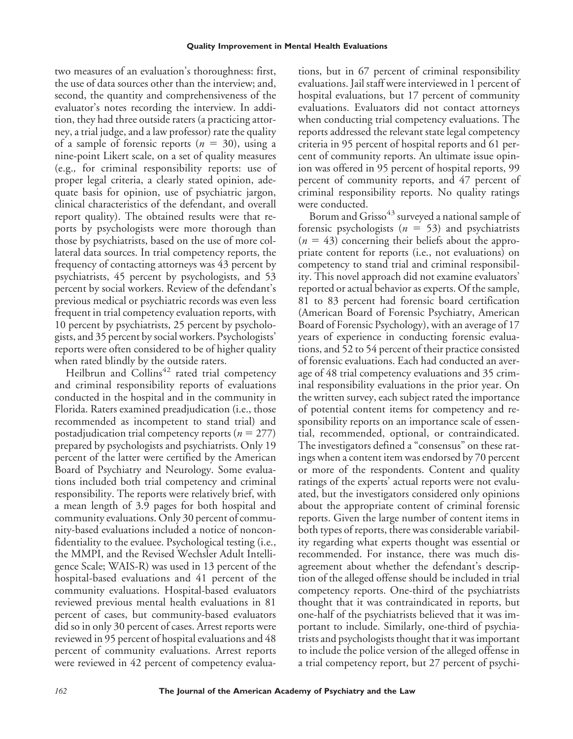two measures of an evaluation's thoroughness: first, the use of data sources other than the interview; and, second, the quantity and comprehensiveness of the evaluator's notes recording the interview. In addition, they had three outside raters (a practicing attorney, a trial judge, and a law professor) rate the quality of a sample of forensic reports  $(n = 30)$ , using a nine-point Likert scale, on a set of quality measures (e.g.*,* for criminal responsibility reports: use of proper legal criteria, a clearly stated opinion, adequate basis for opinion, use of psychiatric jargon, clinical characteristics of the defendant, and overall report quality). The obtained results were that reports by psychologists were more thorough than those by psychiatrists, based on the use of more collateral data sources. In trial competency reports, the frequency of contacting attorneys was 43 percent by psychiatrists, 45 percent by psychologists, and 53 percent by social workers. Review of the defendant's previous medical or psychiatric records was even less frequent in trial competency evaluation reports, with 10 percent by psychiatrists, 25 percent by psychologists, and 35 percent by social workers. Psychologists' reports were often considered to be of higher quality when rated blindly by the outside raters.

Heilbrun and Collins<sup>42</sup> rated trial competency and criminal responsibility reports of evaluations conducted in the hospital and in the community in Florida. Raters examined preadjudication (i.e., those recommended as incompetent to stand trial) and postadjudication trial competency reports  $(n = 277)$ prepared by psychologists and psychiatrists. Only 19 percent of the latter were certified by the American Board of Psychiatry and Neurology. Some evaluations included both trial competency and criminal responsibility. The reports were relatively brief, with a mean length of 3.9 pages for both hospital and community evaluations. Only 30 percent of community-based evaluations included a notice of nonconfidentiality to the evaluee. Psychological testing (i.e., the MMPI, and the Revised Wechsler Adult Intelligence Scale; WAIS-R) was used in 13 percent of the hospital-based evaluations and 41 percent of the community evaluations. Hospital-based evaluators reviewed previous mental health evaluations in 81 percent of cases, but community-based evaluators did so in only 30 percent of cases. Arrest reports were reviewed in 95 percent of hospital evaluations and 48 percent of community evaluations. Arrest reports were reviewed in 42 percent of competency evaluations, but in 67 percent of criminal responsibility evaluations. Jail staff were interviewed in 1 percent of hospital evaluations, but 17 percent of community evaluations. Evaluators did not contact attorneys when conducting trial competency evaluations. The reports addressed the relevant state legal competency criteria in 95 percent of hospital reports and 61 percent of community reports. An ultimate issue opinion was offered in 95 percent of hospital reports, 99 percent of community reports, and 47 percent of criminal responsibility reports. No quality ratings were conducted.

Borum and Grisso<sup>43</sup> surveyed a national sample of forensic psychologists  $(n = 53)$  and psychiatrists  $(n = 43)$  concerning their beliefs about the appropriate content for reports (i.e., not evaluations) on competency to stand trial and criminal responsibility. This novel approach did not examine evaluators' reported or actual behavior as experts. Of the sample, 81 to 83 percent had forensic board certification (American Board of Forensic Psychiatry, American Board of Forensic Psychology), with an average of 17 years of experience in conducting forensic evaluations, and 52 to 54 percent of their practice consisted of forensic evaluations. Each had conducted an average of 48 trial competency evaluations and 35 criminal responsibility evaluations in the prior year. On the written survey, each subject rated the importance of potential content items for competency and responsibility reports on an importance scale of essential, recommended, optional, or contraindicated. The investigators defined a "consensus" on these ratings when a content item was endorsed by 70 percent or more of the respondents. Content and quality ratings of the experts' actual reports were not evaluated, but the investigators considered only opinions about the appropriate content of criminal forensic reports. Given the large number of content items in both types of reports, there was considerable variability regarding what experts thought was essential or recommended. For instance, there was much disagreement about whether the defendant's description of the alleged offense should be included in trial competency reports. One-third of the psychiatrists thought that it was contraindicated in reports, but one-half of the psychiatrists believed that it was important to include. Similarly, one-third of psychiatrists and psychologists thought that it was important to include the police version of the alleged offense in a trial competency report, but 27 percent of psychi-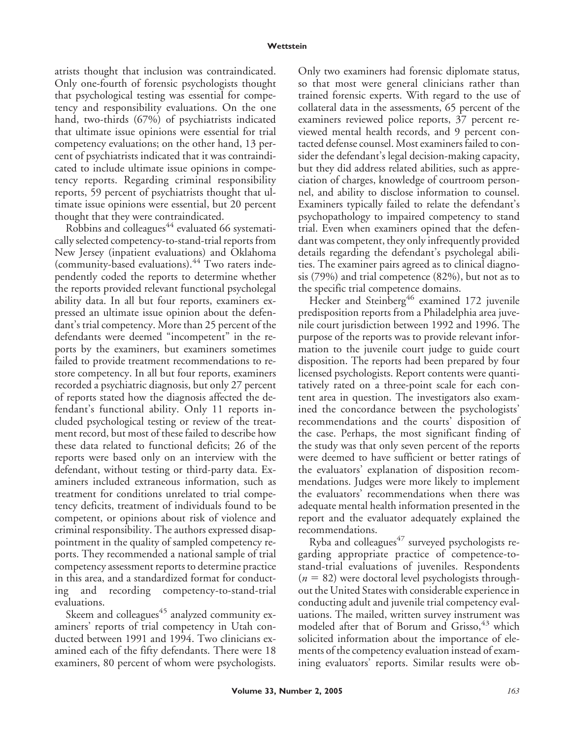atrists thought that inclusion was contraindicated. Only one-fourth of forensic psychologists thought that psychological testing was essential for competency and responsibility evaluations. On the one hand, two-thirds (67%) of psychiatrists indicated that ultimate issue opinions were essential for trial competency evaluations; on the other hand, 13 percent of psychiatrists indicated that it was contraindicated to include ultimate issue opinions in competency reports. Regarding criminal responsibility reports, 59 percent of psychiatrists thought that ultimate issue opinions were essential, but 20 percent thought that they were contraindicated.

Robbins and colleagues $44$  evaluated 66 systematically selected competency-to-stand-trial reports from New Jersey (inpatient evaluations) and Oklahoma (community-based evaluations). $^{44}$  Two raters independently coded the reports to determine whether the reports provided relevant functional psycholegal ability data. In all but four reports, examiners expressed an ultimate issue opinion about the defendant's trial competency. More than 25 percent of the defendants were deemed "incompetent" in the reports by the examiners, but examiners sometimes failed to provide treatment recommendations to restore competency. In all but four reports, examiners recorded a psychiatric diagnosis, but only 27 percent of reports stated how the diagnosis affected the defendant's functional ability. Only 11 reports included psychological testing or review of the treatment record, but most of these failed to describe how these data related to functional deficits; 26 of the reports were based only on an interview with the defendant, without testing or third-party data. Examiners included extraneous information, such as treatment for conditions unrelated to trial competency deficits, treatment of individuals found to be competent, or opinions about risk of violence and criminal responsibility. The authors expressed disappointment in the quality of sampled competency reports. They recommended a national sample of trial competency assessment reports to determine practice in this area, and a standardized format for conducting and recording competency-to-stand-trial evaluations.

Skeem and colleagues $45$  analyzed community examiners' reports of trial competency in Utah conducted between 1991 and 1994. Two clinicians examined each of the fifty defendants. There were 18 examiners, 80 percent of whom were psychologists. Only two examiners had forensic diplomate status, so that most were general clinicians rather than trained forensic experts. With regard to the use of collateral data in the assessments, 65 percent of the examiners reviewed police reports, 37 percent reviewed mental health records, and 9 percent contacted defense counsel. Most examiners failed to consider the defendant's legal decision-making capacity, but they did address related abilities, such as appreciation of charges, knowledge of courtroom personnel, and ability to disclose information to counsel. Examiners typically failed to relate the defendant's psychopathology to impaired competency to stand trial. Even when examiners opined that the defendant was competent, they only infrequently provided details regarding the defendant's psycholegal abilities. The examiner pairs agreed as to clinical diagnosis (79%) and trial competence (82%), but not as to the specific trial competence domains.

Hecker and Steinberg<sup>46</sup> examined 172 juvenile predisposition reports from a Philadelphia area juvenile court jurisdiction between 1992 and 1996. The purpose of the reports was to provide relevant information to the juvenile court judge to guide court disposition. The reports had been prepared by four licensed psychologists. Report contents were quantitatively rated on a three-point scale for each content area in question. The investigators also examined the concordance between the psychologists' recommendations and the courts' disposition of the case. Perhaps, the most significant finding of the study was that only seven percent of the reports were deemed to have sufficient or better ratings of the evaluators' explanation of disposition recommendations. Judges were more likely to implement the evaluators' recommendations when there was adequate mental health information presented in the report and the evaluator adequately explained the recommendations.

Ryba and colleagues $47$  surveyed psychologists regarding appropriate practice of competence-tostand-trial evaluations of juveniles. Respondents  $(n = 82)$  were doctoral level psychologists throughout the United States with considerable experience in conducting adult and juvenile trial competency evaluations. The mailed, written survey instrument was modeled after that of Borum and Grisso, <sup>43</sup> which solicited information about the importance of elements of the competency evaluation instead of examining evaluators' reports. Similar results were ob-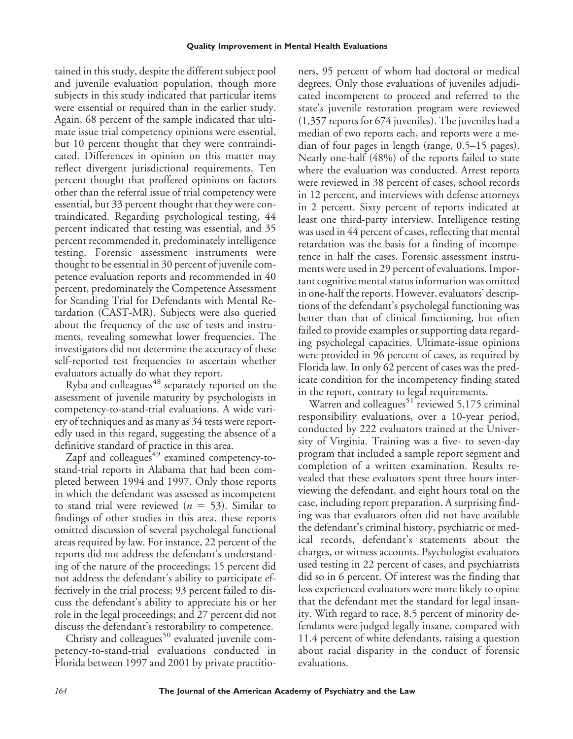tained in this study, despite the different subject pool and juvenile evaluation population, though more subjects in this study indicated that particular items were essential or required than in the earlier study. Again, 68 percent of the sample indicated that ultimate issue trial competency opinions were essential, but 10 percent thought that they were contraindicated. Differences in opinion on this matter may reflect divergent jurisdictional requirements. Ten percent thought that proffered opinions on factors other than the referral issue of trial competency were essential, but 33 percent thought that they were contraindicated. Regarding psychological testing, 44 percent indicated that testing was essential, and 35 percent recommended it, predominately intelligence testing. Forensic assessment instruments were thought to be essential in 30 percent of juvenile competence evaluation reports and recommended in 40 percent, predominately the Competence Assessment for Standing Trial for Defendants with Mental Retardation (CAST-MR). Subjects were also queried about the frequency of the use of tests and instruments, revealing somewhat lower frequencies. The investigators did not determine the accuracy of these self-reported test frequencies to ascertain whether evaluators actually do what they report.

Ryba and colleagues $48$  separately reported on the assessment of juvenile maturity by psychologists in competency-to-stand-trial evaluations. A wide variety of techniques and as many as 34 tests were reportedly used in this regard, suggesting the absence of a definitive standard of practice in this area.

Zapf and colleagues<sup>49</sup> examined competency-tostand-trial reports in Alabama that had been completed between 1994 and 1997. Only those reports in which the defendant was assessed as incompetent to stand trial were reviewed  $(n = 53)$ . Similar to findings of other studies in this area, these reports omitted discussion of several psycholegal functional areas required by law. For instance, 22 percent of the reports did not address the defendant's understanding of the nature of the proceedings; 15 percent did not address the defendant's ability to participate effectively in the trial process; 93 percent failed to discuss the defendant's ability to appreciate his or her role in the legal proceedings; and 27 percent did not discuss the defendant's restorability to competence.

Christy and colleagues<sup>50</sup> evaluated juvenile competency-to-stand-trial evaluations conducted in Florida between 1997 and 2001 by private practitioners, 95 percent of whom had doctoral or medical degrees. Only those evaluations of juveniles adjudicated incompetent to proceed and referred to the state's juvenile restoration program were reviewed (1,357 reports for 674 juveniles). The juveniles had a median of two reports each, and reports were a median of four pages in length (range, 0.5–15 pages). Nearly one-half (48%) of the reports failed to state where the evaluation was conducted. Arrest reports were reviewed in 38 percent of cases, school records in 12 percent, and interviews with defense attorneys in 2 percent. Sixty percent of reports indicated at least one third-party interview. Intelligence testing was used in 44 percent of cases, reflecting that mental retardation was the basis for a finding of incompetence in half the cases. Forensic assessment instruments were used in 29 percent of evaluations. Important cognitive mental status information was omitted in one-half the reports. However, evaluators' descriptions of the defendant's psycholegal functioning was better than that of clinical functioning, but often failed to provide examples or supporting data regarding psycholegal capacities. Ultimate-issue opinions were provided in 96 percent of cases, as required by Florida law. In only 62 percent of cases was the predicate condition for the incompetency finding stated in the report, contrary to legal requirements.

Warren and colleagues<sup>51</sup> reviewed 5,175 criminal responsibility evaluations, over a 10-year period, conducted by 222 evaluators trained at the University of Virginia. Training was a five- to seven-day program that included a sample report segment and completion of a written examination. Results revealed that these evaluators spent three hours interviewing the defendant, and eight hours total on the case, including report preparation. A surprising finding was that evaluators often did not have available the defendant's criminal history, psychiatric or medical records, defendant's statements about the charges, or witness accounts. Psychologist evaluators used testing in 22 percent of cases, and psychiatrists did so in 6 percent. Of interest was the finding that less experienced evaluators were more likely to opine that the defendant met the standard for legal insanity. With regard to race, 8.5 percent of minority defendants were judged legally insane, compared with 11.4 percent of white defendants, raising a question about racial disparity in the conduct of forensic evaluations.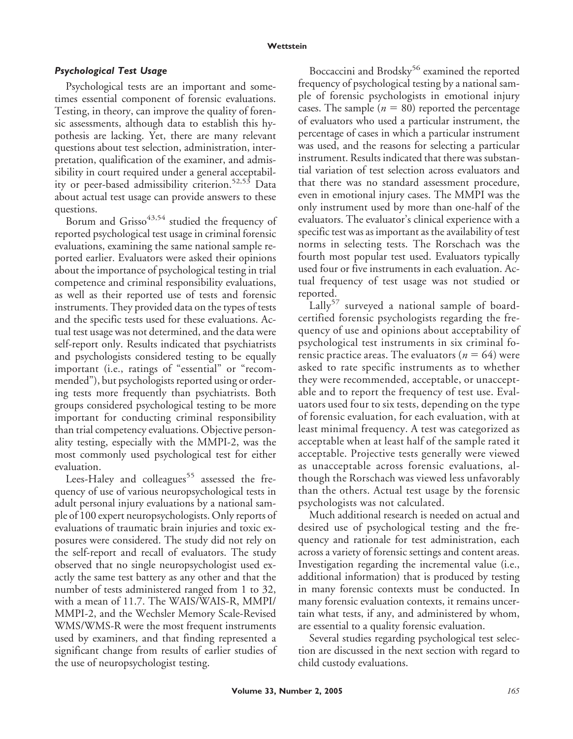### *Psychological Test Usage*

Psychological tests are an important and sometimes essential component of forensic evaluations. Testing, in theory, can improve the quality of forensic assessments, although data to establish this hypothesis are lacking. Yet, there are many relevant questions about test selection, administration, interpretation, qualification of the examiner, and admissibility in court required under a general acceptability or peer-based admissibility criterion.<sup>52,53</sup> Data about actual test usage can provide answers to these questions.

Borum and Grisso<sup>43,54</sup> studied the frequency of reported psychological test usage in criminal forensic evaluations, examining the same national sample reported earlier. Evaluators were asked their opinions about the importance of psychological testing in trial competence and criminal responsibility evaluations, as well as their reported use of tests and forensic instruments. They provided data on the types of tests and the specific tests used for these evaluations. Actual test usage was not determined, and the data were self-report only. Results indicated that psychiatrists and psychologists considered testing to be equally important (i.e., ratings of "essential" or "recommended"), but psychologists reported using or ordering tests more frequently than psychiatrists. Both groups considered psychological testing to be more important for conducting criminal responsibility than trial competency evaluations. Objective personality testing, especially with the MMPI-2, was the most commonly used psychological test for either evaluation.

Lees-Haley and colleagues<sup>55</sup> assessed the frequency of use of various neuropsychological tests in adult personal injury evaluations by a national sample of 100 expert neuropsychologists. Only reports of evaluations of traumatic brain injuries and toxic exposures were considered. The study did not rely on the self-report and recall of evaluators. The study observed that no single neuropsychologist used exactly the same test battery as any other and that the number of tests administered ranged from 1 to 32, with a mean of 11.7. The WAIS/WAIS-R, MMPI/ MMPI-2, and the Wechsler Memory Scale-Revised WMS/WMS-R were the most frequent instruments used by examiners, and that finding represented a significant change from results of earlier studies of the use of neuropsychologist testing.

Boccaccini and Brodsky<sup>56</sup> examined the reported frequency of psychological testing by a national sample of forensic psychologists in emotional injury cases. The sample  $(n = 80)$  reported the percentage of evaluators who used a particular instrument, the percentage of cases in which a particular instrument was used, and the reasons for selecting a particular instrument. Results indicated that there was substantial variation of test selection across evaluators and that there was no standard assessment procedure, even in emotional injury cases. The MMPI was the only instrument used by more than one-half of the evaluators. The evaluator's clinical experience with a specific test was as important as the availability of test norms in selecting tests. The Rorschach was the fourth most popular test used. Evaluators typically used four or five instruments in each evaluation. Actual frequency of test usage was not studied or reported.

Lally<sup>57</sup> surveyed a national sample of boardcertified forensic psychologists regarding the frequency of use and opinions about acceptability of psychological test instruments in six criminal forensic practice areas. The evaluators ( $n = 64$ ) were asked to rate specific instruments as to whether they were recommended, acceptable, or unacceptable and to report the frequency of test use. Evaluators used four to six tests, depending on the type of forensic evaluation, for each evaluation, with at least minimal frequency. A test was categorized as acceptable when at least half of the sample rated it acceptable. Projective tests generally were viewed as unacceptable across forensic evaluations, although the Rorschach was viewed less unfavorably than the others. Actual test usage by the forensic psychologists was not calculated.

Much additional research is needed on actual and desired use of psychological testing and the frequency and rationale for test administration, each across a variety of forensic settings and content areas. Investigation regarding the incremental value (i.e., additional information) that is produced by testing in many forensic contexts must be conducted. In many forensic evaluation contexts, it remains uncertain what tests, if any, and administered by whom, are essential to a quality forensic evaluation.

Several studies regarding psychological test selection are discussed in the next section with regard to child custody evaluations.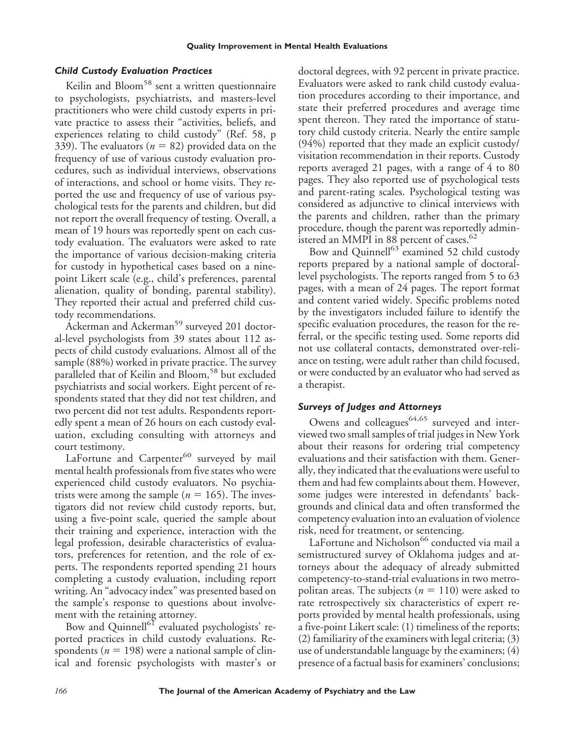## *Child Custody Evaluation Practices*

Keilin and Bloom<sup>58</sup> sent a written questionnaire to psychologists, psychiatrists, and masters-level practitioners who were child custody experts in private practice to assess their "activities, beliefs, and experiences relating to child custody" (Ref. 58, p 339). The evaluators ( $n = 82$ ) provided data on the frequency of use of various custody evaluation procedures, such as individual interviews, observations of interactions, and school or home visits. They reported the use and frequency of use of various psychological tests for the parents and children, but did not report the overall frequency of testing. Overall, a mean of 19 hours was reportedly spent on each custody evaluation. The evaluators were asked to rate the importance of various decision-making criteria for custody in hypothetical cases based on a ninepoint Likert scale (e.g., child's preferences, parental alienation, quality of bonding, parental stability). They reported their actual and preferred child custody recommendations.

Ackerman and Ackerman<sup>59</sup> surveyed 201 doctoral-level psychologists from 39 states about 112 aspects of child custody evaluations. Almost all of the sample (88%) worked in private practice. The survey paralleled that of Keilin and Bloom,<sup>58</sup> but excluded psychiatrists and social workers. Eight percent of respondents stated that they did not test children, and two percent did not test adults. Respondents reportedly spent a mean of 26 hours on each custody evaluation, excluding consulting with attorneys and court testimony.

LaFortune and Carpenter<sup>60</sup> surveyed by mail mental health professionals from five states who were experienced child custody evaluators. No psychiatrists were among the sample  $(n = 165)$ . The investigators did not review child custody reports, but, using a five-point scale, queried the sample about their training and experience, interaction with the legal profession, desirable characteristics of evaluators, preferences for retention, and the role of experts. The respondents reported spending 21 hours completing a custody evaluation, including report writing. An "advocacy index" was presented based on the sample's response to questions about involvement with the retaining attorney.

Bow and Quinnell<sup>61</sup> evaluated psychologists' reported practices in child custody evaluations. Respondents ( $n = 198$ ) were a national sample of clinical and forensic psychologists with master's or doctoral degrees, with 92 percent in private practice. Evaluators were asked to rank child custody evaluation procedures according to their importance, and state their preferred procedures and average time spent thereon. They rated the importance of statutory child custody criteria. Nearly the entire sample (94%) reported that they made an explicit custody/ visitation recommendation in their reports. Custody reports averaged 21 pages, with a range of 4 to 80 pages. They also reported use of psychological tests and parent-rating scales. Psychological testing was considered as adjunctive to clinical interviews with the parents and children, rather than the primary procedure, though the parent was reportedly administered an MMPI in 88 percent of cases.<sup>62</sup>

Bow and Quinnell<sup>63</sup> examined 52 child custody reports prepared by a national sample of doctorallevel psychologists. The reports ranged from 5 to 63 pages, with a mean of 24 pages. The report format and content varied widely. Specific problems noted by the investigators included failure to identify the specific evaluation procedures, the reason for the referral, or the specific testing used. Some reports did not use collateral contacts, demonstrated over-reliance on testing, were adult rather than child focused, or were conducted by an evaluator who had served as a therapist.

## *Surveys of Judges and Attorneys*

Owens and colleagues $64,65$  surveyed and interviewed two small samples of trial judges in New York about their reasons for ordering trial competency evaluations and their satisfaction with them. Generally, they indicated that the evaluations were useful to them and had few complaints about them. However, some judges were interested in defendants' backgrounds and clinical data and often transformed the competency evaluation into an evaluation of violence risk, need for treatment, or sentencing.

LaFortune and Nicholson<sup>66</sup> conducted via mail a semistructured survey of Oklahoma judges and attorneys about the adequacy of already submitted competency-to-stand-trial evaluations in two metropolitan areas. The subjects ( $n = 110$ ) were asked to rate retrospectively six characteristics of expert reports provided by mental health professionals, using a five-point Likert scale: (1) timeliness of the reports; (2) familiarity of the examiners with legal criteria; (3) use of understandable language by the examiners; (4) presence of a factual basis for examiners' conclusions;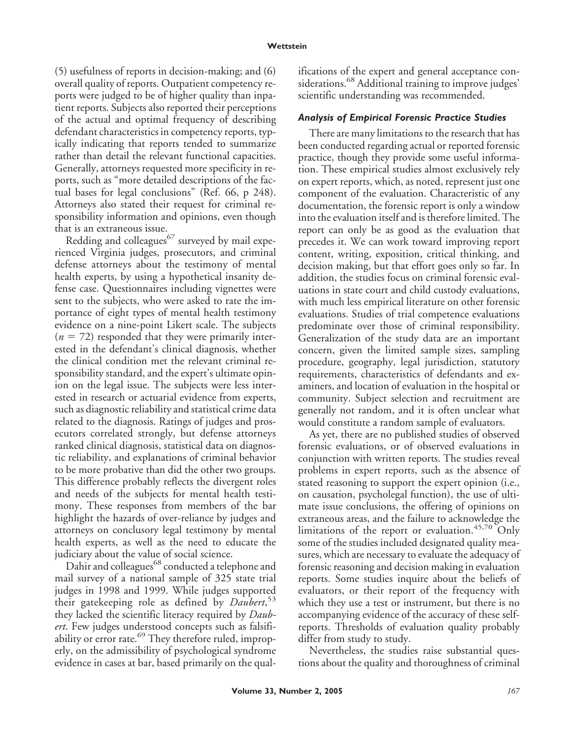(5) usefulness of reports in decision-making; and (6) overall quality of reports. Outpatient competency reports were judged to be of higher quality than inpatient reports. Subjects also reported their perceptions of the actual and optimal frequency of describing defendant characteristics in competency reports, typically indicating that reports tended to summarize rather than detail the relevant functional capacities. Generally, attorneys requested more specificity in reports, such as "more detailed descriptions of the factual bases for legal conclusions" (Ref. 66, p 248). Attorneys also stated their request for criminal responsibility information and opinions, even though that is an extraneous issue.

Redding and colleagues $^{67}$  surveyed by mail experienced Virginia judges, prosecutors, and criminal defense attorneys about the testimony of mental health experts, by using a hypothetical insanity defense case. Questionnaires including vignettes were sent to the subjects, who were asked to rate the importance of eight types of mental health testimony evidence on a nine-point Likert scale. The subjects  $(n = 72)$  responded that they were primarily interested in the defendant's clinical diagnosis, whether the clinical condition met the relevant criminal responsibility standard, and the expert's ultimate opinion on the legal issue. The subjects were less interested in research or actuarial evidence from experts, such as diagnostic reliability and statistical crime data related to the diagnosis. Ratings of judges and prosecutors correlated strongly, but defense attorneys ranked clinical diagnosis, statistical data on diagnostic reliability, and explanations of criminal behavior to be more probative than did the other two groups. This difference probably reflects the divergent roles and needs of the subjects for mental health testimony. These responses from members of the bar highlight the hazards of over-reliance by judges and attorneys on conclusory legal testimony by mental health experts, as well as the need to educate the judiciary about the value of social science.

Dahir and colleagues<sup>68</sup> conducted a telephone and mail survey of a national sample of 325 state trial judges in 1998 and 1999. While judges supported their gatekeeping role as defined by *Daubert*, 53 they lacked the scientific literacy required by *Daubert*. Few judges understood concepts such as falsifiability or error rate.<sup>69</sup> They therefore ruled, improperly, on the admissibility of psychological syndrome evidence in cases at bar, based primarily on the qualifications of the expert and general acceptance considerations.<sup>68</sup> Additional training to improve judges' scientific understanding was recommended.

## *Analysis of Empirical Forensic Practice Studies*

There are many limitations to the research that has been conducted regarding actual or reported forensic practice, though they provide some useful information. These empirical studies almost exclusively rely on expert reports, which, as noted, represent just one component of the evaluation. Characteristic of any documentation, the forensic report is only a window into the evaluation itself and is therefore limited. The report can only be as good as the evaluation that precedes it. We can work toward improving report content, writing, exposition, critical thinking, and decision making, but that effort goes only so far. In addition, the studies focus on criminal forensic evaluations in state court and child custody evaluations, with much less empirical literature on other forensic evaluations. Studies of trial competence evaluations predominate over those of criminal responsibility. Generalization of the study data are an important concern, given the limited sample sizes, sampling procedure, geography, legal jurisdiction, statutory requirements, characteristics of defendants and examiners, and location of evaluation in the hospital or community. Subject selection and recruitment are generally not random, and it is often unclear what would constitute a random sample of evaluators.

As yet, there are no published studies of observed forensic evaluations, or of observed evaluations in conjunction with written reports. The studies reveal problems in expert reports, such as the absence of stated reasoning to support the expert opinion (i.e., on causation, psycholegal function), the use of ultimate issue conclusions, the offering of opinions on extraneous areas, and the failure to acknowledge the limitations of the report or evaluation. $45,70$  Only some of the studies included designated quality measures, which are necessary to evaluate the adequacy of forensic reasoning and decision making in evaluation reports. Some studies inquire about the beliefs of evaluators, or their report of the frequency with which they use a test or instrument, but there is no accompanying evidence of the accuracy of these selfreports. Thresholds of evaluation quality probably differ from study to study.

Nevertheless, the studies raise substantial questions about the quality and thoroughness of criminal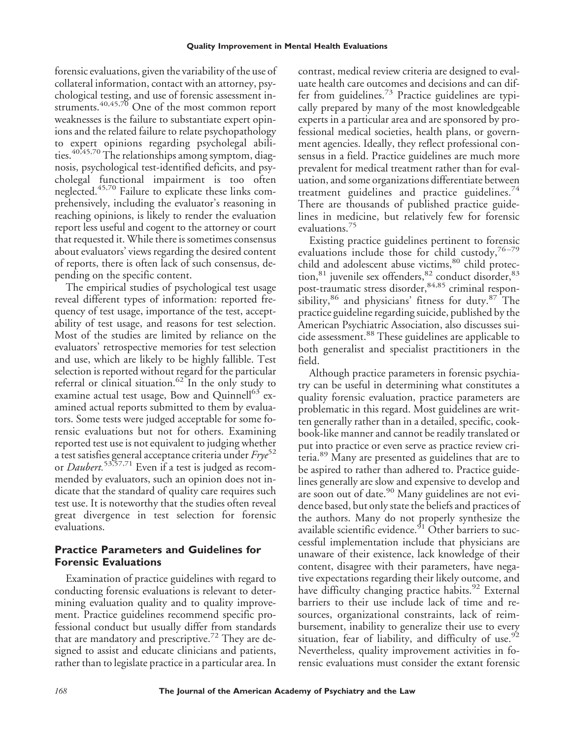forensic evaluations, given the variability of the use of collateral information, contact with an attorney, psychological testing, and use of forensic assessment instruments.<sup>40,45,70</sup> One of the most common report weaknesses is the failure to substantiate expert opinions and the related failure to relate psychopathology to expert opinions regarding psycholegal abilities.<sup>40,45,70</sup> The relationships among symptom, diagnosis, psychological test-identified deficits, and psycholegal functional impairment is too often neglected.45,70 Failure to explicate these links comprehensively, including the evaluator's reasoning in reaching opinions, is likely to render the evaluation report less useful and cogent to the attorney or court that requested it. While there is sometimes consensus about evaluators' views regarding the desired content of reports, there is often lack of such consensus, depending on the specific content.

The empirical studies of psychological test usage reveal different types of information: reported frequency of test usage, importance of the test, acceptability of test usage, and reasons for test selection. Most of the studies are limited by reliance on the evaluators' retrospective memories for test selection and use, which are likely to be highly fallible. Test selection is reported without regard for the particular referral or clinical situation.<sup>62</sup> In the only study to examine actual test usage, Bow and Quinnell<sup>63</sup> examined actual reports submitted to them by evaluators. Some tests were judged acceptable for some forensic evaluations but not for others. Examining reported test use is not equivalent to judging whether a test satisfies general acceptance criteria under *Frye*<sup>52</sup> or *Daubert.*53,57,71 Even if a test is judged as recommended by evaluators, such an opinion does not indicate that the standard of quality care requires such test use. It is noteworthy that the studies often reveal great divergence in test selection for forensic evaluations.

# **Practice Parameters and Guidelines for Forensic Evaluations**

Examination of practice guidelines with regard to conducting forensic evaluations is relevant to determining evaluation quality and to quality improvement. Practice guidelines recommend specific professional conduct but usually differ from standards that are mandatory and prescriptive.<sup>72</sup> They are designed to assist and educate clinicians and patients, rather than to legislate practice in a particular area. In contrast, medical review criteria are designed to evaluate health care outcomes and decisions and can differ from guidelines.<sup>73</sup> Practice guidelines are typically prepared by many of the most knowledgeable experts in a particular area and are sponsored by professional medical societies, health plans, or government agencies. Ideally, they reflect professional consensus in a field. Practice guidelines are much more prevalent for medical treatment rather than for evaluation, and some organizations differentiate between treatment guidelines and practice guidelines. $44$ There are thousands of published practice guidelines in medicine, but relatively few for forensic evaluations.75

Existing practice guidelines pertinent to forensic evaluations include those for child custody,  $76-79$ child and adolescent abuse victims,<sup>80</sup> child protection,<sup>81</sup> juvenile sex offenders,<sup>82</sup> conduct disorder,<sup>83</sup> post-traumatic stress disorder, 84,85 criminal responsibility,  $86$  and physicians' fitness for duty. $87$  The practice guideline regarding suicide, published by the American Psychiatric Association, also discusses suicide assessment.88 These guidelines are applicable to both generalist and specialist practitioners in the field.

Although practice parameters in forensic psychiatry can be useful in determining what constitutes a quality forensic evaluation, practice parameters are problematic in this regard. Most guidelines are written generally rather than in a detailed, specific, cookbook-like manner and cannot be readily translated or put into practice or even serve as practice review criteria.89 Many are presented as guidelines that are to be aspired to rather than adhered to. Practice guidelines generally are slow and expensive to develop and are soon out of date.<sup>90</sup> Many guidelines are not evidence based, but only state the beliefs and practices of the authors. Many do not properly synthesize the available scientific evidence. $91$  Other barriers to successful implementation include that physicians are unaware of their existence, lack knowledge of their content, disagree with their parameters, have negative expectations regarding their likely outcome, and have difficulty changing practice habits.<sup>92</sup> External barriers to their use include lack of time and resources, organizational constraints, lack of reimbursement, inability to generalize their use to every situation, fear of liability, and difficulty of use.<sup>92</sup> Nevertheless, quality improvement activities in forensic evaluations must consider the extant forensic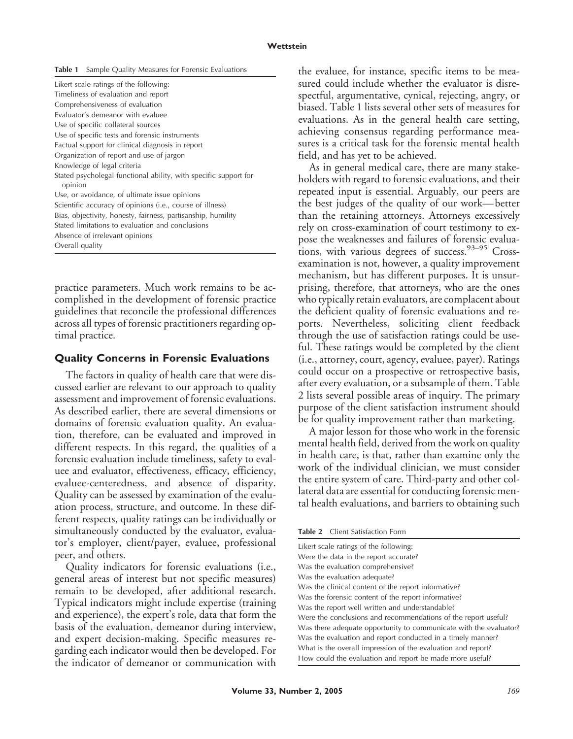| <b>Table 1</b> Sample Quality Measures for Forensic Evaluations |  |
|-----------------------------------------------------------------|--|
|-----------------------------------------------------------------|--|

| Likert scale ratings of the following:                                      |
|-----------------------------------------------------------------------------|
| Timeliness of evaluation and report                                         |
| Comprehensiveness of evaluation                                             |
| Evaluator's demeanor with evaluee                                           |
| Use of specific collateral sources                                          |
| Use of specific tests and forensic instruments                              |
| Factual support for clinical diagnosis in report                            |
| Organization of report and use of jargon                                    |
| Knowledge of legal criteria                                                 |
| Stated psycholegal functional ability, with specific support for<br>opinion |
| Use, or avoidance, of ultimate issue opinions                               |
| Scientific accuracy of opinions (i.e., course of illness)                   |
| Bias, objectivity, honesty, fairness, partisanship, humility                |
| Stated limitations to evaluation and conclusions                            |
| Absence of irrelevant opinions                                              |
| Overall quality                                                             |

practice parameters. Much work remains to be accomplished in the development of forensic practice guidelines that reconcile the professional differences across all types of forensic practitioners regarding optimal practice.

#### **Quality Concerns in Forensic Evaluations**

The factors in quality of health care that were discussed earlier are relevant to our approach to quality assessment and improvement of forensic evaluations. As described earlier, there are several dimensions or domains of forensic evaluation quality. An evaluation, therefore, can be evaluated and improved in different respects. In this regard, the qualities of a forensic evaluation include timeliness, safety to evaluee and evaluator, effectiveness, efficacy, efficiency, evaluee-centeredness, and absence of disparity. Quality can be assessed by examination of the evaluation process, structure, and outcome. In these different respects, quality ratings can be individually or simultaneously conducted by the evaluator, evaluator's employer, client/payer, evaluee, professional peer, and others.

Quality indicators for forensic evaluations (i.e., general areas of interest but not specific measures) remain to be developed, after additional research. Typical indicators might include expertise (training and experience), the expert's role, data that form the basis of the evaluation, demeanor during interview, and expert decision-making. Specific measures regarding each indicator would then be developed. For the indicator of demeanor or communication with the evaluee, for instance, specific items to be measured could include whether the evaluator is disrespectful, argumentative, cynical, rejecting, angry, or biased. Table 1 lists several other sets of measures for evaluations. As in the general health care setting, achieving consensus regarding performance measures is a critical task for the forensic mental health field, and has yet to be achieved.

As in general medical care, there are many stakeholders with regard to forensic evaluations, and their repeated input is essential. Arguably, our peers are the best judges of the quality of our work— better than the retaining attorneys. Attorneys excessively rely on cross-examination of court testimony to expose the weaknesses and failures of forensic evaluations, with various degrees of success.<sup>93–95</sup> Crossexamination is not, however, a quality improvement mechanism, but has different purposes. It is unsurprising, therefore, that attorneys, who are the ones who typically retain evaluators, are complacent about the deficient quality of forensic evaluations and reports. Nevertheless, soliciting client feedback through the use of satisfaction ratings could be useful. These ratings would be completed by the client (i.e., attorney, court, agency, evaluee, payer). Ratings could occur on a prospective or retrospective basis, after every evaluation, or a subsample of them. Table 2 lists several possible areas of inquiry. The primary purpose of the client satisfaction instrument should be for quality improvement rather than marketing.

A major lesson for those who work in the forensic mental health field, derived from the work on quality in health care, is that, rather than examine only the work of the individual clinician, we must consider the entire system of care. Third-party and other collateral data are essential for conducting forensic mental health evaluations, and barriers to obtaining such

**Table 2** Client Satisfaction Form

| Likert scale ratings of the following:                            |
|-------------------------------------------------------------------|
|                                                                   |
| Were the data in the report accurate?                             |
| Was the evaluation comprehensive?                                 |
| Was the evaluation adequate?                                      |
| Was the clinical content of the report informative?               |
| Was the forensic content of the report informative?               |
| Was the report well written and understandable?                   |
| Were the conclusions and recommendations of the report useful?    |
| Was there adequate opportunity to communicate with the evaluator? |
| Was the evaluation and report conducted in a timely manner?       |
| What is the overall impression of the evaluation and report?      |
| How could the evaluation and report be made more useful?          |
|                                                                   |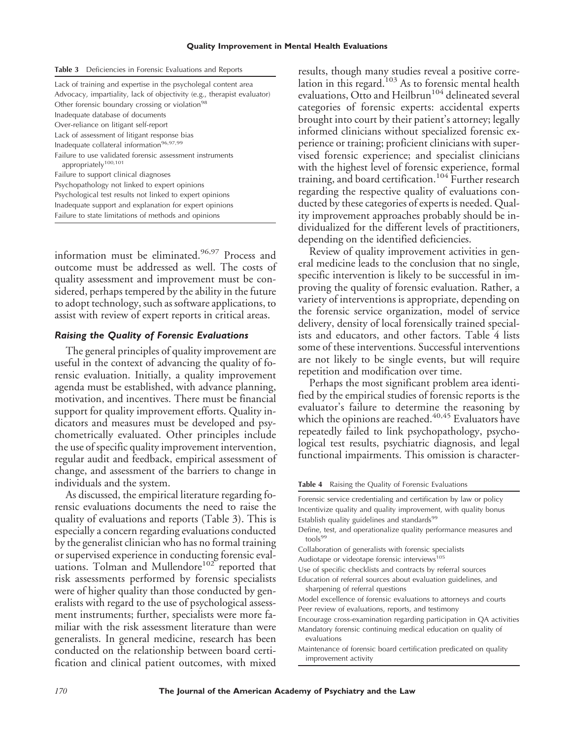|  |  |  |  |  |  |  |  |  |  |  | <b>Table 3</b> Deficiencies in Forensic Evaluations and Reports |
|--|--|--|--|--|--|--|--|--|--|--|-----------------------------------------------------------------|
|--|--|--|--|--|--|--|--|--|--|--|-----------------------------------------------------------------|

information must be eliminated.<sup>96,97</sup> Process and outcome must be addressed as well. The costs of quality assessment and improvement must be considered, perhaps tempered by the ability in the future to adopt technology, such as software applications, to assist with review of expert reports in critical areas.

#### *Raising the Quality of Forensic Evaluations*

The general principles of quality improvement are useful in the context of advancing the quality of forensic evaluation. Initially, a quality improvement agenda must be established, with advance planning, motivation, and incentives. There must be financial support for quality improvement efforts. Quality indicators and measures must be developed and psychometrically evaluated. Other principles include the use of specific quality improvement intervention, regular audit and feedback, empirical assessment of change, and assessment of the barriers to change in individuals and the system.

As discussed, the empirical literature regarding forensic evaluations documents the need to raise the quality of evaluations and reports (Table 3). This is especially a concern regarding evaluations conducted by the generalist clinician who has no formal training or supervised experience in conducting forensic evaluations. Tolman and Mullendore<sup>102</sup> reported that risk assessments performed by forensic specialists were of higher quality than those conducted by generalists with regard to the use of psychological assessment instruments; further, specialists were more familiar with the risk assessment literature than were generalists. In general medicine, research has been conducted on the relationship between board certification and clinical patient outcomes, with mixed results, though many studies reveal a positive correlation in this regard.<sup>103</sup> As to forensic mental health evaluations, Otto and Heilbrun<sup>104</sup> delineated several categories of forensic experts: accidental experts brought into court by their patient's attorney; legally informed clinicians without specialized forensic experience or training; proficient clinicians with supervised forensic experience; and specialist clinicians with the highest level of forensic experience, formal training, and board certification.104 Further research regarding the respective quality of evaluations conducted by these categories of experts is needed. Quality improvement approaches probably should be individualized for the different levels of practitioners, depending on the identified deficiencies.

Review of quality improvement activities in general medicine leads to the conclusion that no single, specific intervention is likely to be successful in improving the quality of forensic evaluation. Rather, a variety of interventions is appropriate, depending on the forensic service organization, model of service delivery, density of local forensically trained specialists and educators, and other factors. Table 4 lists some of these interventions. Successful interventions are not likely to be single events, but will require repetition and modification over time.

Perhaps the most significant problem area identified by the empirical studies of forensic reports is the evaluator's failure to determine the reasoning by which the opinions are reached. $^{40,45}$  Evaluators have repeatedly failed to link psychopathology, psychological test results, psychiatric diagnosis, and legal functional impairments. This omission is character-

**Table 4** Raising the Quality of Forensic Evaluations

Forensic service credentialing and certification by law or policy Incentivize quality and quality improvement, with quality bonus Establish quality guidelines and standards<sup>99</sup> Define, test, and operationalize quality performance measures and tools<sup>99</sup> Collaboration of generalists with forensic specialists Audiotape or videotape forensic interviews<sup>105</sup> Use of specific checklists and contracts by referral sources Education of referral sources about evaluation guidelines, and sharpening of referral questions

Model excellence of forensic evaluations to attorneys and courts Peer review of evaluations, reports, and testimony

Encourage cross-examination regarding participation in QA activities Mandatory forensic continuing medical education on quality of evaluations

Maintenance of forensic board certification predicated on quality improvement activity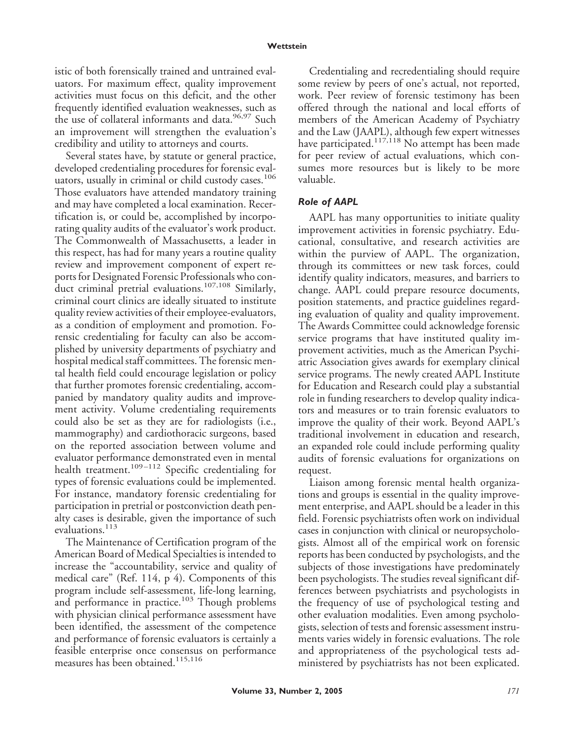istic of both forensically trained and untrained evaluators. For maximum effect, quality improvement activities must focus on this deficit, and the other frequently identified evaluation weaknesses, such as the use of collateral informants and data.<sup>96,97</sup> Such an improvement will strengthen the evaluation's credibility and utility to attorneys and courts.

Several states have, by statute or general practice, developed credentialing procedures for forensic evaluators, usually in criminal or child custody cases.<sup>106</sup> Those evaluators have attended mandatory training and may have completed a local examination. Recertification is, or could be, accomplished by incorporating quality audits of the evaluator's work product. The Commonwealth of Massachusetts, a leader in this respect, has had for many years a routine quality review and improvement component of expert reports for Designated Forensic Professionals who conduct criminal pretrial evaluations.<sup>107,108</sup> Similarly, criminal court clinics are ideally situated to institute quality review activities of their employee-evaluators, as a condition of employment and promotion. Forensic credentialing for faculty can also be accomplished by university departments of psychiatry and hospital medical staff committees. The forensic mental health field could encourage legislation or policy that further promotes forensic credentialing, accompanied by mandatory quality audits and improvement activity. Volume credentialing requirements could also be set as they are for radiologists (i.e., mammography) and cardiothoracic surgeons, based on the reported association between volume and evaluator performance demonstrated even in mental health treatment.<sup>109–112</sup> Specific credentialing for types of forensic evaluations could be implemented. For instance, mandatory forensic credentialing for participation in pretrial or postconviction death penalty cases is desirable, given the importance of such evaluations.<sup>113</sup>

The Maintenance of Certification program of the American Board of Medical Specialties is intended to increase the "accountability, service and quality of medical care" (Ref. 114, p 4). Components of this program include self-assessment, life-long learning, and performance in practice.<sup>103</sup> Though problems with physician clinical performance assessment have been identified, the assessment of the competence and performance of forensic evaluators is certainly a feasible enterprise once consensus on performance measures has been obtained.<sup>115,116</sup>

Credentialing and recredentialing should require some review by peers of one's actual, not reported, work. Peer review of forensic testimony has been offered through the national and local efforts of members of the American Academy of Psychiatry and the Law (JAAPL), although few expert witnesses have participated.<sup>117,118</sup> No attempt has been made for peer review of actual evaluations, which consumes more resources but is likely to be more valuable.

#### *Role of AAPL*

AAPL has many opportunities to initiate quality improvement activities in forensic psychiatry. Educational, consultative, and research activities are within the purview of AAPL. The organization, through its committees or new task forces, could identify quality indicators, measures, and barriers to change. AAPL could prepare resource documents, position statements, and practice guidelines regarding evaluation of quality and quality improvement. The Awards Committee could acknowledge forensic service programs that have instituted quality improvement activities, much as the American Psychiatric Association gives awards for exemplary clinical service programs. The newly created AAPL Institute for Education and Research could play a substantial role in funding researchers to develop quality indicators and measures or to train forensic evaluators to improve the quality of their work. Beyond AAPL's traditional involvement in education and research, an expanded role could include performing quality audits of forensic evaluations for organizations on request.

Liaison among forensic mental health organizations and groups is essential in the quality improvement enterprise, and AAPL should be a leader in this field. Forensic psychiatrists often work on individual cases in conjunction with clinical or neuropsychologists. Almost all of the empirical work on forensic reports has been conducted by psychologists, and the subjects of those investigations have predominately been psychologists. The studies reveal significant differences between psychiatrists and psychologists in the frequency of use of psychological testing and other evaluation modalities. Even among psychologists, selection of tests and forensic assessment instruments varies widely in forensic evaluations. The role and appropriateness of the psychological tests administered by psychiatrists has not been explicated.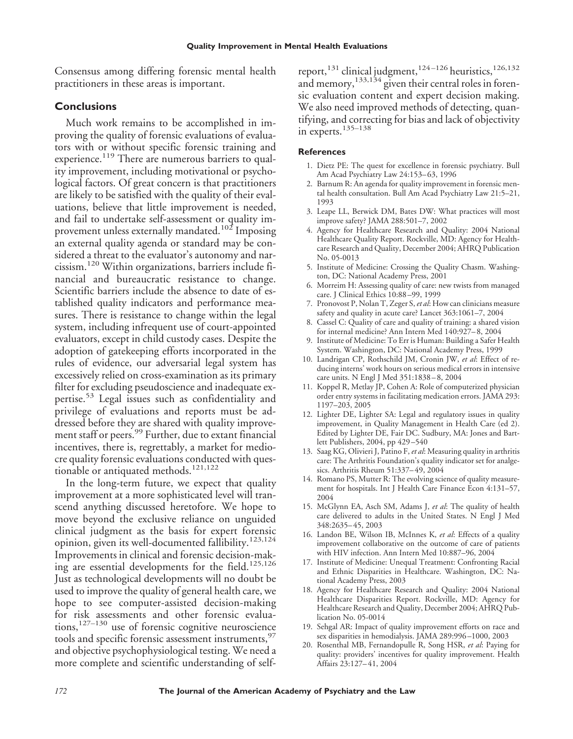Consensus among differing forensic mental health practitioners in these areas is important.

## **Conclusions**

Much work remains to be accomplished in improving the quality of forensic evaluations of evaluators with or without specific forensic training and experience.<sup>119</sup> There are numerous barriers to quality improvement, including motivational or psychological factors. Of great concern is that practitioners are likely to be satisfied with the quality of their evaluations, believe that little improvement is needed, and fail to undertake self-assessment or quality improvement unless externally mandated.<sup>102</sup> Imposing an external quality agenda or standard may be considered a threat to the evaluator's autonomy and narcissism.120 Within organizations, barriers include financial and bureaucratic resistance to change. Scientific barriers include the absence to date of established quality indicators and performance measures. There is resistance to change within the legal system, including infrequent use of court-appointed evaluators, except in child custody cases. Despite the adoption of gatekeeping efforts incorporated in the rules of evidence, our adversarial legal system has excessively relied on cross-examination as its primary filter for excluding pseudoscience and inadequate expertise.<sup>53</sup> Legal issues such as confidentiality and privilege of evaluations and reports must be addressed before they are shared with quality improvement staff or peers.<sup>99</sup> Further, due to extant financial incentives, there is, regrettably, a market for mediocre quality forensic evaluations conducted with questionable or antiquated methods.<sup>121,122</sup>

In the long-term future, we expect that quality improvement at a more sophisticated level will transcend anything discussed heretofore. We hope to move beyond the exclusive reliance on unguided clinical judgment as the basis for expert forensic opinion, given its well-documented fallibility.<sup>123,124</sup> Improvements in clinical and forensic decision-making are essential developments for the field.125,126 Just as technological developments will no doubt be used to improve the quality of general health care, we hope to see computer-assisted decision-making for risk assessments and other forensic evaluations,<sup>127–130</sup> use of forensic cognitive neuroscience tools and specific forensic assessment instruments, <sup>97</sup> and objective psychophysiological testing. We need a more complete and scientific understanding of self-

report,<sup>131</sup> clinical judgment,<sup>124-126</sup> heuristics,<sup>126,132</sup> and memory,  $^{133,134}$  given their central roles in forensic evaluation content and expert decision making. We also need improved methods of detecting, quantifying, and correcting for bias and lack of objectivity in experts. $135-138$ 

### **References**

- 1. Dietz PE: The quest for excellence in forensic psychiatry. Bull Am Acad Psychiatry Law 24:153-63, 1996
- 2. Barnum R: An agenda for quality improvement in forensic mental health consultation. Bull Am Acad Psychiatry Law 21:5–21, 1993
- 3. Leape LL, Berwick DM, Bates DW: What practices will most improve safety? JAMA 288:501–7, 2002
- 4. Agency for Healthcare Research and Quality: 2004 National Healthcare Quality Report. Rockville, MD: Agency for Healthcare Research and Quality, December 2004; AHRQ Publication No. 05-0013
- 5. Institute of Medicine: Crossing the Quality Chasm. Washington, DC: National Academy Press, 2001
- 6. Morreim H: Assessing quality of care: new twists from managed care. J Clinical Ethics 10:88 –99, 1999
- 7. Pronovost P, Nolan T, Zeger S,*et al*: How can clinicians measure safety and quality in acute care? Lancet 363:1061–7, 2004
- 8. Cassel C: Quality of care and quality of training: a shared vision for internal medicine? Ann Intern Med 140:927– 8, 2004
- 9. Institute of Medicine: To Err is Human: Building a Safer Health System. Washington, DC: National Academy Press, 1999
- 10. Landrigan CP, Rothschild JM, Cronin JW, *et al*: Effect of reducing interns' work hours on serious medical errors in intensive care units. N Engl J Med 351:1838 – 8, 2004
- 11. Koppel R, Metlay JP, Cohen A: Role of computerized physician order entry systems in facilitating medication errors. JAMA 293: 1197–203, 2005
- 12. Lighter DE, Lighter SA: Legal and regulatory issues in quality improvement, in Quality Management in Health Care (ed 2). Edited by Lighter DE, Fair DC. Sudbury, MA: Jones and Bartlett Publishers, 2004, pp 429 –540
- 13. Saag KG, Olivieri J, Patino F, *et al*: Measuring quality in arthritis care: The Arthritis Foundation's quality indicator set for analgesics. Arthritis Rheum 51:337– 49, 2004
- 14. Romano PS, Mutter R: The evolving science of quality measurement for hospitals. Int J Health Care Finance Econ 4:131–57, 2004
- 15. McGlynn EA, Asch SM, Adams J, *et al*: The quality of health care delivered to adults in the United States. N Engl J Med 348:2635– 45, 2003
- 16. Landon BE, Wilson IB, McInnes K, *et al*: Effects of a quality improvement collaborative on the outcome of care of patients with HIV infection. Ann Intern Med 10:887–96, 2004
- 17. Institute of Medicine: Unequal Treatment: Confronting Racial and Ethnic Disparities in Healthcare. Washington, DC: National Academy Press, 2003
- 18. Agency for Healthcare Research and Quality: 2004 National Healthcare Disparities Report. Rockville, MD: Agency for Healthcare Research and Quality, December 2004; AHRQ Publication No. 05-0014
- 19. Sehgal AR: Impact of quality improvement efforts on race and sex disparities in hemodialysis. JAMA 289:996 –1000, 2003
- 20. Rosenthal MB, Fernandopulle R, Song HSR, *et al*: Paying for quality: providers' incentives for quality improvement. Health Affairs 23:127– 41, 2004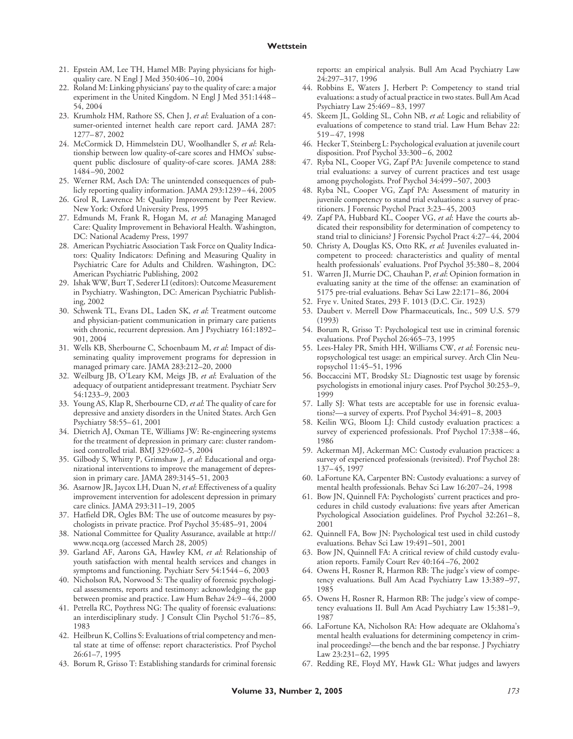- 21. Epstein AM, Lee TH, Hamel MB: Paying physicians for highquality care. N Engl J Med 350:406 –10, 2004
- 22. Roland M: Linking physicians' pay to the quality of care: a major experiment in the United Kingdom. N Engl J Med 351:1448 – 54, 2004
- 23. Krumholz HM, Rathore SS, Chen J, *et al*: Evaluation of a consumer-oriented internet health care report card. JAMA 287: 1277– 87, 2002
- 24. McCormick D, Himmelstein DU, Woolhandler S, *et al*: Relationship between low quality-of-care scores and HMOs' subsequent public disclosure of quality-of-care scores. JAMA 288: 1484 –90, 2002
- 25. Werner RM, Asch DA: The unintended consequences of publicly reporting quality information. JAMA 293:1239 – 44, 2005
- 26. Grol R, Lawrence M: Quality Improvement by Peer Review. New York: Oxford University Press, 1995
- 27. Edmunds M, Frank R, Hogan M, *et al*: Managing Managed Care: Quality Improvement in Behavioral Health. Washington, DC: National Academy Press, 1997
- 28. American Psychiatric Association Task Force on Quality Indicators: Quality Indicators: Defining and Measuring Quality in Psychiatric Care for Adults and Children. Washington, DC: American Psychiatric Publishing, 2002
- 29. Ishak WW, Burt T, Sederer LI (editors): Outcome Measurement in Psychiatry. Washington, DC: American Psychiatric Publishing, 2002
- 30. Schwenk TL, Evans DL, Laden SK, *et al*: Treatment outcome and physician-patient communication in primary care patients with chronic, recurrent depression. Am J Psychiatry 161:1892– 901, 2004
- 31. Wells KB, Sherbourne C, Schoenbaum M, *et al*: Impact of disseminating quality improvement programs for depression in managed primary care. JAMA 283:212–20, 2000
- 32. Weilburg JB, O'Leary KM, Meigs JB, *et al*: Evaluation of the adequacy of outpatient antidepressant treatment. Psychiatr Serv 54:1233–9, 2003
- 33. Young AS, Klap R, Sherbourne CD, *et al*: The quality of care for depressive and anxiety disorders in the United States. Arch Gen Psychiatry 58:55– 61, 2001
- 34. Dietrich AJ, Oxman TE, Williams JW: Re-engineering systems for the treatment of depression in primary care: cluster randomised controlled trial. BMJ 329:602–5, 2004
- 35. Gilbody S, Whitty P, Grimshaw J, *et al*: Educational and organizational interventions to improve the management of depression in primary care. JAMA 289:3145–51, 2003
- 36. Asarnow JR, Jaycox LH, Duan N, *et al*: Effectiveness of a quality improvement intervention for adolescent depression in primary care clinics. JAMA 293:311–19, 2005
- 37. Hatfield DR, Ogles BM: The use of outcome measures by psychologists in private practice. Prof Psychol 35:485–91, 2004
- 38. National Committee for Quality Assurance, available at http:// www.ncqa.org (accessed March 28, 2005)
- 39. Garland AF, Aarons GA, Hawley KM, *et al*: Relationship of youth satisfaction with mental health services and changes in symptoms and functioning. Psychiatr Serv 54:1544-6, 2003
- 40. Nicholson RA, Norwood S: The quality of forensic psychological assessments, reports and testimony: acknowledging the gap between promise and practice. Law Hum Behav 24:9 – 44, 2000
- 41. Petrella RC, Poythress NG: The quality of forensic evaluations: an interdisciplinary study. J Consult Clin Psychol 51:76 – 85, 1983
- 42. Heilbrun K, Collins S: Evaluations of trial competency and mental state at time of offense: report characteristics. Prof Psychol 26:61–7, 1995
- 43. Borum R, Grisso T: Establishing standards for criminal forensic

reports: an empirical analysis. Bull Am Acad Psychiatry Law 24:297–317, 1996

- 44. Robbins E, Waters J, Herbert P: Competency to stand trial evaluations: a study of actual practice in two states. Bull Am Acad Psychiatry Law 25:469 – 83, 1997
- 45. Skeem JL, Golding SL, Cohn NB, *et al*: Logic and reliability of evaluations of competence to stand trial. Law Hum Behav 22: 519 – 47, 1998
- 46. Hecker T, Steinberg L: Psychological evaluation at juvenile court disposition. Prof Psychol 33:300-6, 2002
- 47. Ryba NL, Cooper VG, Zapf PA: Juvenile competence to stand trial evaluations: a survey of current practices and test usage among psychologists. Prof Psychol 34:499 –507, 2003
- 48. Ryba NL, Cooper VG, Zapf PA: Assessment of maturity in juvenile competency to stand trial evaluations: a survey of practitioners. J Forensic Psychol Pract 3:23– 45, 2003
- 49. Zapf PA, Hubbard KL, Cooper VG, *et al*: Have the courts abdicated their responsibility for determination of competency to stand trial to clinicians? J Forensic Psychol Pract 4:27– 44, 2004
- 50. Christy A, Douglas KS, Otto RK, *et al*: Juveniles evaluated incompetent to proceed: characteristics and quality of mental health professionals' evaluations. Prof Psychol 35:380 – 8, 2004
- 51. Warren JI, Murrie DC, Chauhan P, *et al*: Opinion formation in evaluating sanity at the time of the offense: an examination of 5175 pre-trial evaluations. Behav Sci Law 22:171– 86, 2004
- 52. Frye v. United States, 293 F. 1013 (D.C. Cir. 1923)
- 53. Daubert v. Merrell Dow Pharmaceuticals, Inc., 509 U.S. 579 (1993)
- 54. Borum R, Grisso T: Psychological test use in criminal forensic evaluations. Prof Psychol 26:465–73, 1995
- 55. Lees-Haley PR, Smith HH, Williams CW, *et al*: Forensic neuropsychological test usage: an empirical survey. Arch Clin Neuropsychol 11:45–51, 1996
- 56. Boccaccini MT, Brodsky SL: Diagnostic test usage by forensic psychologists in emotional injury cases. Prof Psychol 30:253–9, 1999
- 57. Lally SJ: What tests are acceptable for use in forensic evaluations?—a survey of experts. Prof Psychol 34:491– 8, 2003
- 58. Keilin WG, Bloom LJ: Child custody evaluation practices: a survey of experienced professionals. Prof Psychol 17:338 – 46, 1986
- 59. Ackerman MJ, Ackerman MC: Custody evaluation practices: a survey of experienced professionals (revisited). Prof Psychol 28: 137– 45, 1997
- 60. LaFortune KA, Carpenter BN: Custody evaluations: a survey of mental health professionals. Behav Sci Law 16:207–24, 1998
- 61. Bow JN, Quinnell FA: Psychologists' current practices and procedures in child custody evaluations: five years after American Psychological Association guidelines. Prof Psychol 32:261-8, 2001
- 62. Quinnell FA, Bow JN: Psychological test used in child custody evaluations. Behav Sci Law 19:491–501, 2001
- 63. Bow JN, Quinnell FA: A critical review of child custody evaluation reports. Family Court Rev 40:164 –76, 2002
- 64. Owens H, Rosner R, Harmon RB: The judge's view of competency evaluations. Bull Am Acad Psychiatry Law 13:389 –97, 1985
- 65. Owens H, Rosner R, Harmon RB: The judge's view of competency evaluations II. Bull Am Acad Psychiatry Law 15:381–9, 1987
- 66. LaFortune KA, Nicholson RA: How adequate are Oklahoma's mental health evaluations for determining competency in criminal proceedings?—the bench and the bar response. J Psychiatry Law 23:231-62, 1995
- 67. Redding RE, Floyd MY, Hawk GL: What judges and lawyers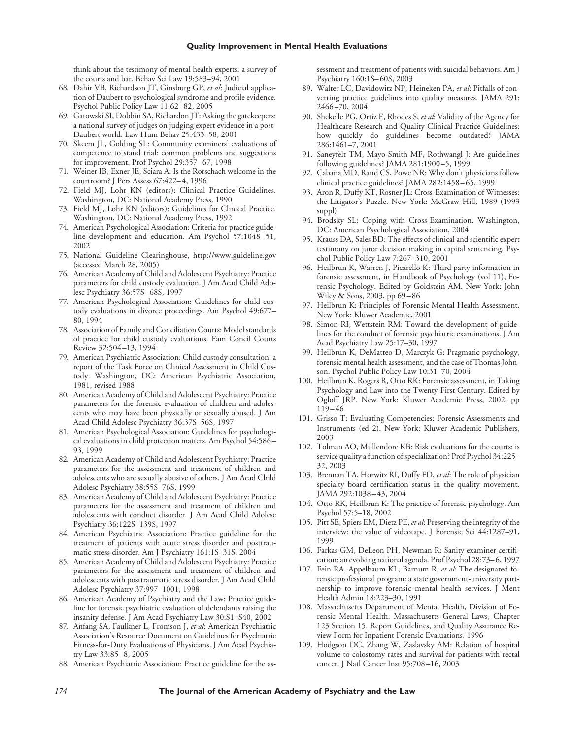think about the testimony of mental health experts: a survey of the courts and bar. Behav Sci Law 19:583–94, 2001

- 68. Dahir VB, Richardson JT, Ginsburg GP, *et al*: Judicial application of Daubert to psychological syndrome and profile evidence. Psychol Public Policy Law 11:62– 82, 2005
- 69. Gatowski SI, Dobbin SA, Richardon JT: Asking the gatekeepers: a national survey of judges on judging expert evidence in a post-Daubert world. Law Hum Behav 25:433–58, 2001
- 70. Skeem JL, Golding SL: Community examiners' evaluations of competence to stand trial: common problems and suggestions for improvement. Prof Psychol 29:357– 67, 1998
- 71. Weiner IB, Exner JE, Sciara A: Is the Rorschach welcome in the courtroom? J Pers Assess 67:422– 4, 1996
- 72. Field MJ, Lohr KN (editors): Clinical Practice Guidelines. Washington, DC: National Academy Press, 1990
- 73. Field MJ, Lohr KN (editors): Guidelines for Clinical Practice. Washington, DC: National Academy Press, 1992
- 74. American Psychological Association: Criteria for practice guideline development and education. Am Psychol 57:1048-51, 2002
- 75. National Guideline Clearinghouse, http://www.guideline.gov (accessed March 28, 2005)
- 76. American Academy of Child and Adolescent Psychiatry: Practice parameters for child custody evaluation. J Am Acad Child Adolesc Psychiatry 36:57S– 68S, 1997
- 77. American Psychological Association: Guidelines for child custody evaluations in divorce proceedings. Am Psychol 49:677– 80, 1994
- 78. Association of Family and Conciliation Courts: Model standards of practice for child custody evaluations. Fam Concil Courts Review 32:504 –13, 1994
- 79. American Psychiatric Association: Child custody consultation: a report of the Task Force on Clinical Assessment in Child Custody. Washington, DC: American Psychiatric Association, 1981, revised 1988
- 80. American Academy of Child and Adolescent Psychiatry: Practice parameters for the forensic evaluation of children and adolescents who may have been physically or sexually abused. J Am Acad Child Adolesc Psychiatry 36:37S–56S, 1997
- 81. American Psychological Association: Guidelines for psychological evaluations in child protection matters. Am Psychol 54:586 – 93, 1999
- 82. American Academy of Child and Adolescent Psychiatry: Practice parameters for the assessment and treatment of children and adolescents who are sexually abusive of others. J Am Acad Child Adolesc Psychiatry 38:55S–76S, 1999
- 83. American Academy of Child and Adolescent Psychiatry: Practice parameters for the assessment and treatment of children and adolescents with conduct disorder. J Am Acad Child Adolesc Psychiatry 36:122S–139S, 1997
- 84. American Psychiatric Association: Practice guideline for the treatment of patients with acute stress disorder and posttraumatic stress disorder. Am J Psychiatry 161:1S–31S, 2004
- 85. American Academy of Child and Adolescent Psychiatry: Practice parameters for the assessment and treatment of children and adolescents with posttraumatic stress disorder. J Am Acad Child Adolesc Psychiatry 37:997–1001, 1998
- 86. American Academy of Psychiatry and the Law: Practice guideline for forensic psychiatric evaluation of defendants raising the insanity defense. J Am Acad Psychiatry Law 30:S1–S40, 2002
- 87. Anfang SA, Faulkner L, Fromson J, *et al*: American Psychiatric Association's Resource Document on Guidelines for Psychiatric Fitness-for-Duty Evaluations of Physicians. J Am Acad Psychiatry Law 33:85– 8, 2005
- 88. American Psychiatric Association: Practice guideline for the as-

sessment and treatment of patients with suicidal behaviors. Am J Psychiatry 160:1S– 60S, 2003

- 89. Walter LC, Davidowitz NP, Heineken PA, *et al*: Pitfalls of converting practice guidelines into quality measures. JAMA 291: 2466 –70, 2004
- 90. Shekelle PG, Ortiz E, Rhodes S, *et al*: Validity of the Agency for Healthcare Research and Quality Clinical Practice Guidelines: how quickly do guidelines become outdated? JAMA 286:1461–7, 2001
- 91. Saneyfelt TM, Mayo-Smith MF, Rothwangl J: Are guidelines following guidelines? JAMA 281:1900 –5, 1999
- 92. Cabana MD, Rand CS, Powe NR: Why don't physicians follow clinical practice guidelines? JAMA 282:1458 – 65, 1999
- 93. Aron R, Duffy KT, Rosner JL: Cross-Examination of Witnesses: the Litigator's Puzzle. New York: McGraw Hill, 1989 (1993 suppl)
- 94. Brodsky SL: Coping with Cross-Examination. Washington, DC: American Psychological Association, 2004
- 95. Krauss DA, Sales BD: The effects of clinical and scientific expert testimony on juror decision making in capital sentencing. Psychol Public Policy Law 7:267–310, 2001
- 96. Heilbrun K, Warren J, Picarello K: Third party information in forensic assessment, in Handbook of Psychology (vol 11), Forensic Psychology. Edited by Goldstein AM. New York: John Wiley & Sons, 2003, pp 69 – 86
- 97. Heilbrun K: Principles of Forensic Mental Health Assessment. New York: Kluwer Academic, 2001
- 98. Simon RI, Wettstein RM: Toward the development of guidelines for the conduct of forensic psychiatric examinations. J Am Acad Psychiatry Law 25:17–30, 1997
- 99. Heilbrun K, DeMatteo D, Marczyk G: Pragmatic psychology, forensic mental health assessment, and the case of Thomas Johnson. Psychol Public Policy Law 10:31–70, 2004
- 100. Heilbrun K, Rogers R, Otto RK: Forensic assessment, in Taking Psychology and Law into the Twenty-First Century. Edited by Ogloff JRP. New York: Kluwer Academic Press, 2002, pp 119 – 46
- 101. Grisso T: Evaluating Competencies: Forensic Assessments and Instruments (ed 2). New York: Kluwer Academic Publishers, 2003
- 102. Tolman AO, Mullendore KB: Risk evaluations for the courts: is service quality a function of specialization? Prof Psychol 34:225– 32, 2003
- 103. Brennan TA, Horwitz RI, Duffy FD, *et al*: The role of physician specialty board certification status in the quality movement. JAMA 292:1038 – 43, 2004
- 104. Otto RK, Heilbrun K: The practice of forensic psychology. Am Psychol 57:5–18, 2002
- 105. Pitt SE, Spiers EM, Dietz PE, *et al*: Preserving the integrity of the interview: the value of videotape. J Forensic Sci 44:1287–91, 1999
- 106. Farkas GM, DeLeon PH, Newman R: Sanity examiner certification: an evolving national agenda. Prof Psychol 28:73– 6, 1997
- 107. Fein RA, Appelbaum KL, Barnum R, *et al*: The designated forensic professional program: a state government-university partnership to improve forensic mental health services. J Ment Health Admin 18:223–30, 1991
- 108. Massachusetts Department of Mental Health, Division of Forensic Mental Health: Massachusetts General Laws, Chapter 123 Section 15. Report Guidelines, and Quality Assurance Review Form for Inpatient Forensic Evaluations, 1996
- 109. Hodgson DC, Zhang W, Zaslavsky AM: Relation of hospital volume to colostomy rates and survival for patients with rectal cancer. J Natl Cancer Inst 95:708 –16, 2003